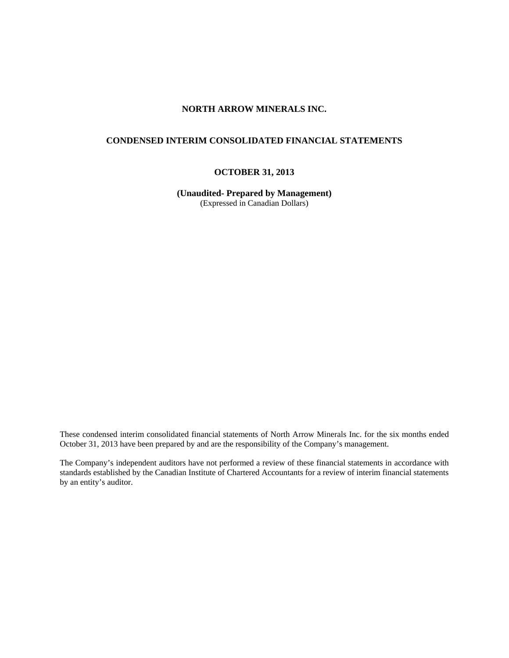# **NORTH ARROW MINERALS INC.**

# **CONDENSED INTERIM CONSOLIDATED FINANCIAL STATEMENTS**

# **OCTOBER 31, 2013**

**(Unaudited- Prepared by Management)**  (Expressed in Canadian Dollars)

These condensed interim consolidated financial statements of North Arrow Minerals Inc. for the six months ended October 31, 2013 have been prepared by and are the responsibility of the Company's management.

The Company's independent auditors have not performed a review of these financial statements in accordance with standards established by the Canadian Institute of Chartered Accountants for a review of interim financial statements by an entity's auditor.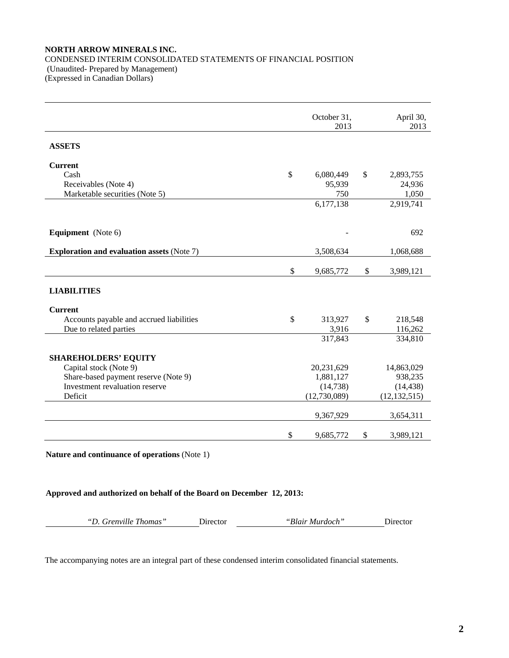## **NORTH ARROW MINERALS INC.**  CONDENSED INTERIM CONSOLIDATED STATEMENTS OF FINANCIAL POSITION (Unaudited- Prepared by Management) (Expressed in Canadian Dollars)

|                                                   | October 31,<br>2013 | April 30,<br>2013 |
|---------------------------------------------------|---------------------|-------------------|
| <b>ASSETS</b>                                     |                     |                   |
| <b>Current</b>                                    |                     |                   |
| Cash                                              | \$<br>6,080,449     | \$<br>2,893,755   |
| Receivables (Note 4)                              | 95,939              | 24,936            |
| Marketable securities (Note 5)                    | 750                 | 1,050             |
|                                                   | 6,177,138           | 2,919,741         |
|                                                   |                     |                   |
| <b>Equipment</b> (Note 6)                         |                     | 692               |
|                                                   |                     |                   |
| <b>Exploration and evaluation assets (Note 7)</b> | 3,508,634           | 1,068,688         |
|                                                   |                     |                   |
|                                                   | \$<br>9,685,772     | \$<br>3,989,121   |
| <b>LIABILITIES</b>                                |                     |                   |
|                                                   |                     |                   |
| <b>Current</b>                                    |                     |                   |
| Accounts payable and accrued liabilities          | \$<br>313,927       | \$<br>218,548     |
| Due to related parties                            | 3,916               | 116,262           |
|                                                   | 317,843             | 334,810           |
|                                                   |                     |                   |
| <b>SHAREHOLDERS' EQUITY</b>                       |                     |                   |
| Capital stock (Note 9)                            | 20,231,629          | 14,863,029        |
| Share-based payment reserve (Note 9)              | 1,881,127           | 938,235           |
| Investment revaluation reserve                    | (14, 738)           | (14, 438)         |
| Deficit                                           | (12,730,089)        | (12, 132, 515)    |
|                                                   | 9,367,929           | 3,654,311         |
|                                                   |                     |                   |
|                                                   | \$<br>9,685,772     | \$<br>3,989,121   |

**Nature and continuance of operations** (Note 1)

**Approved and authorized on behalf of the Board on December 12, 2013:**

*"D. Grenville Thomas"* Director *"Blair Murdoch"* Director

The accompanying notes are an integral part of these condensed interim consolidated financial statements.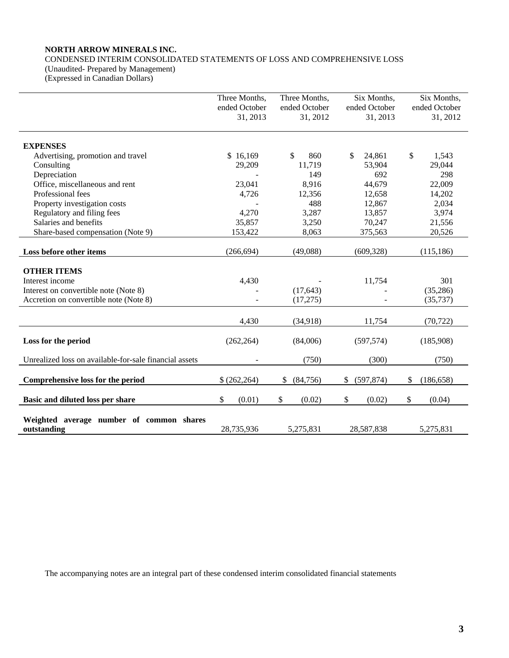# **NORTH ARROW MINERALS INC.**

CONDENSED INTERIM CONSOLIDATED STATEMENTS OF LOSS AND COMPREHENSIVE LOSS

(Unaudited- Prepared by Management) (Expressed in Canadian Dollars)

|                                                         | Three Months,             | Three Months,             | Six Months,               | Six Months,               |
|---------------------------------------------------------|---------------------------|---------------------------|---------------------------|---------------------------|
|                                                         | ended October<br>31, 2013 | ended October<br>31, 2012 | ended October<br>31, 2013 | ended October<br>31, 2012 |
| <b>EXPENSES</b>                                         |                           |                           |                           |                           |
| Advertising, promotion and travel                       | \$16,169                  | \$<br>860                 | \$<br>24,861              | \$<br>1,543               |
| Consulting                                              | 29,209                    | 11,719                    | 53,904                    | 29,044                    |
| Depreciation                                            |                           | 149                       | 692                       | 298                       |
| Office, miscellaneous and rent                          | 23,041                    | 8,916                     | 44,679                    | 22,009                    |
| Professional fees                                       | 4,726                     | 12,356                    | 12,658                    | 14,202                    |
| Property investigation costs                            |                           | 488                       | 12,867                    | 2,034                     |
| Regulatory and filing fees                              | 4,270                     | 3,287                     | 13,857                    | 3,974                     |
| Salaries and benefits                                   | 35,857                    | 3,250                     | 70,247                    | 21,556                    |
| Share-based compensation (Note 9)                       | 153,422                   | 8,063                     | 375,563                   | 20,526                    |
| Loss before other items                                 | (266, 694)                | (49,088)                  | (609, 328)                | (115, 186)                |
| <b>OTHER ITEMS</b>                                      |                           |                           |                           |                           |
| Interest income                                         | 4,430                     |                           | 11,754                    | 301                       |
| Interest on convertible note (Note 8)                   |                           | (17, 643)                 |                           | (35,286)                  |
| Accretion on convertible note (Note 8)                  |                           | (17,275)                  |                           | (35, 737)                 |
|                                                         | 4,430                     | (34,918)                  | 11,754                    | (70, 722)                 |
| Loss for the period                                     | (262, 264)                | (84,006)                  | (597, 574)                | (185,908)                 |
| Unrealized loss on available-for-sale financial assets  |                           | (750)                     | (300)                     | (750)                     |
| Comprehensive loss for the period                       | \$(262,264)               | \$<br>(84,756)            | (597, 874)<br>\$          | \$<br>(186, 658)          |
| Basic and diluted loss per share                        | \$<br>(0.01)              | \$<br>(0.02)              | \$<br>(0.02)              | \$<br>(0.04)              |
| Weighted average number of common shares<br>outstanding | 28,735,936                | 5.275.831                 | 28,587,838                | 5.275.831                 |

The accompanying notes are an integral part of these condensed interim consolidated financial statements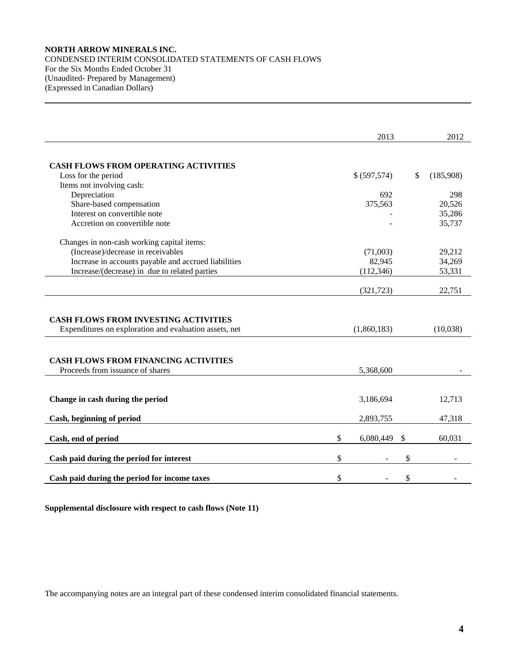# **NORTH ARROW MINERALS INC.**  CONDENSED INTERIM CONSOLIDATED STATEMENTS OF CASH FLOWS For the Six Months Ended October 31 (Unaudited- Prepared by Management) (Expressed in Canadian Dollars)

|                                                                                                       | 2013            | 2012            |
|-------------------------------------------------------------------------------------------------------|-----------------|-----------------|
|                                                                                                       |                 |                 |
| <b>CASH FLOWS FROM OPERATING ACTIVITIES</b>                                                           |                 |                 |
| Loss for the period                                                                                   | \$ (597,574)    | \$<br>(185,908) |
| Items not involving cash:                                                                             |                 |                 |
| Depreciation                                                                                          | 692             | 298             |
| Share-based compensation                                                                              | 375,563         | 20,526          |
| Interest on convertible note                                                                          |                 | 35,286          |
| Accretion on convertible note                                                                         |                 | 35,737          |
| Changes in non-cash working capital items:                                                            |                 |                 |
| (Increase)/decrease in receivables                                                                    | (71,003)        | 29,212          |
| Increase in accounts payable and accrued liabilities                                                  | 82,945          | 34,269          |
| Increase/(decrease) in due to related parties                                                         | (112, 346)      | 53,331          |
|                                                                                                       |                 |                 |
|                                                                                                       | (321, 723)      | 22,751          |
| <b>CASH FLOWS FROM INVESTING ACTIVITIES</b><br>Expenditures on exploration and evaluation assets, net | (1,860,183)     | (10,038)        |
|                                                                                                       |                 |                 |
| <b>CASH FLOWS FROM FINANCING ACTIVITIES</b><br>Proceeds from issuance of shares                       | 5,368,600       |                 |
| Change in cash during the period                                                                      | 3,186,694       | 12,713          |
| Cash, beginning of period                                                                             | 2,893,755       | 47,318          |
| Cash, end of period                                                                                   | \$<br>6,080,449 | \$<br>60,031    |
| Cash paid during the period for interest                                                              | \$              | \$              |
| Cash paid during the period for income taxes                                                          | \$              | \$              |

**Supplemental disclosure with respect to cash flows (Note 11)**

The accompanying notes are an integral part of these condensed interim consolidated financial statements.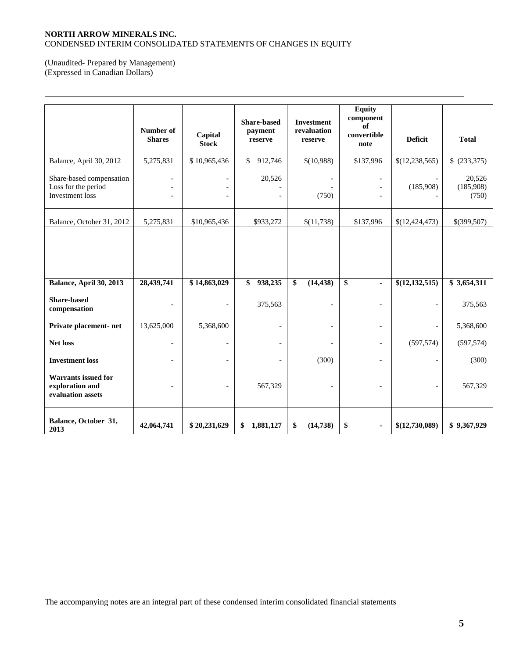# **NORTH ARROW MINERALS INC.**  CONDENSED INTERIM CONSOLIDATED STATEMENTS OF CHANGES IN EQUITY

# (Unaudited- Prepared by Management) (Expressed in Canadian Dollars)

 $\overline{a}$ 

|                                                                    | Number of<br><b>Shares</b> | Capital<br><b>Stock</b>                    | <b>Share-based</b><br>payment<br>reserve | <b>Investment</b><br>revaluation<br>reserve | <b>Equity</b><br>component<br>of<br>convertible<br>note | <b>Deficit</b>   | <b>Total</b>                 |
|--------------------------------------------------------------------|----------------------------|--------------------------------------------|------------------------------------------|---------------------------------------------|---------------------------------------------------------|------------------|------------------------------|
| Balance, April 30, 2012                                            | 5,275,831                  | \$10,965,436                               | 912,746<br>\$                            | \$(10,988)                                  | \$137,996                                               | \$(12, 238, 565) | \$ (233,375)                 |
| Share-based compensation<br>Loss for the period<br>Investment loss | $\overline{a}$             | $\overline{\phantom{a}}$<br>$\overline{a}$ | 20,526                                   | (750)                                       |                                                         | (185,908)        | 20,526<br>(185,908)<br>(750) |
| Balance, October 31, 2012                                          | 5,275,831                  | \$10,965,436                               | \$933,272                                | \$(11,738)                                  | \$137,996                                               | \$(12,424,473)   | \$(399,507)                  |
|                                                                    |                            |                                            |                                          |                                             |                                                         |                  |                              |
| Balance, April 30, 2013                                            | 28,439,741                 | \$14,863,029                               | 938,235<br>\$                            | \$<br>(14, 438)                             | \$<br>٠                                                 | \$(12,132,515)   | \$3,654,311                  |
| <b>Share-based</b><br>compensation                                 |                            | $\overline{a}$                             | 375,563                                  |                                             |                                                         |                  | 375,563                      |
| Private placement- net                                             | 13,625,000                 | 5,368,600                                  | $\overline{\phantom{0}}$                 |                                             | $\overline{\phantom{a}}$                                |                  | 5,368,600                    |
| <b>Net loss</b>                                                    |                            | $\overline{\phantom{a}}$                   | $\overline{\phantom{a}}$                 |                                             | $\overline{\phantom{a}}$                                | (597, 574)       | (597, 574)                   |
| <b>Investment</b> loss                                             | $\overline{\phantom{a}}$   | $\overline{a}$                             | $\overline{a}$                           | (300)                                       | $\overline{a}$                                          | $\overline{a}$   | (300)                        |
| <b>Warrants issued for</b><br>exploration and<br>evaluation assets |                            | $\overline{\phantom{0}}$                   | 567,329                                  |                                             |                                                         |                  | 567,329                      |
| Balance, October 31,<br>2013                                       | 42,064,741                 | \$20,231,629                               | 1,881,127<br>\$                          | \$<br>(14, 738)                             | \$<br>$\blacksquare$                                    | \$(12,730,089)   | \$9,367,929                  |

The accompanying notes are an integral part of these condensed interim consolidated financial statements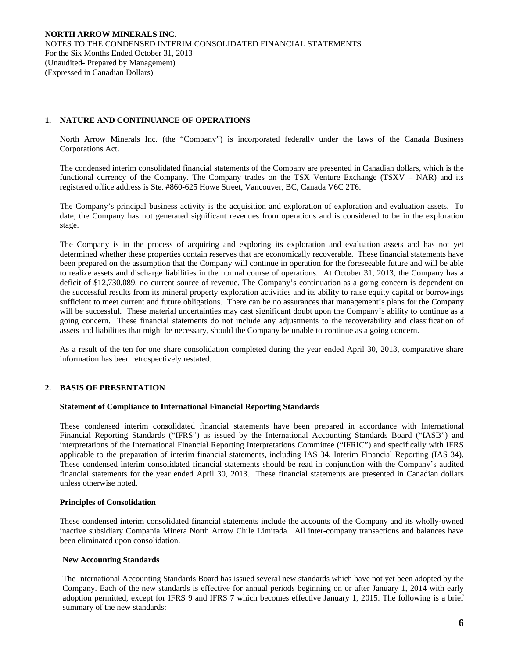## **1. NATURE AND CONTINUANCE OF OPERATIONS**

 $\overline{a}$ 

North Arrow Minerals Inc. (the "Company") is incorporated federally under the laws of the Canada Business Corporations Act.

The condensed interim consolidated financial statements of the Company are presented in Canadian dollars, which is the functional currency of the Company. The Company trades on the TSX Venture Exchange (TSXV – NAR) and its registered office address is Ste. #860-625 Howe Street, Vancouver, BC, Canada V6C 2T6.

 The Company's principal business activity is the acquisition and exploration of exploration and evaluation assets. To date, the Company has not generated significant revenues from operations and is considered to be in the exploration stage.

The Company is in the process of acquiring and exploring its exploration and evaluation assets and has not yet determined whether these properties contain reserves that are economically recoverable. These financial statements have been prepared on the assumption that the Company will continue in operation for the foreseeable future and will be able to realize assets and discharge liabilities in the normal course of operations. At October 31, 2013, the Company has a deficit of \$12,730,089, no current source of revenue. The Company's continuation as a going concern is dependent on the successful results from its mineral property exploration activities and its ability to raise equity capital or borrowings sufficient to meet current and future obligations. There can be no assurances that management's plans for the Company will be successful. These material uncertainties may cast significant doubt upon the Company's ability to continue as a going concern. These financial statements do not include any adjustments to the recoverability and classification of assets and liabilities that might be necessary, should the Company be unable to continue as a going concern.

As a result of the ten for one share consolidation completed during the year ended April 30, 2013, comparative share information has been retrospectively restated.

# **2. BASIS OF PRESENTATION**

#### **Statement of Compliance to International Financial Reporting Standards**

These condensed interim consolidated financial statements have been prepared in accordance with International Financial Reporting Standards ("IFRS") as issued by the International Accounting Standards Board ("IASB") and interpretations of the International Financial Reporting Interpretations Committee ("IFRIC") and specifically with IFRS applicable to the preparation of interim financial statements, including IAS 34, Interim Financial Reporting (IAS 34). These condensed interim consolidated financial statements should be read in conjunction with the Company's audited financial statements for the year ended April 30, 2013. These financial statements are presented in Canadian dollars unless otherwise noted.

#### **Principles of Consolidation**

These condensed interim consolidated financial statements include the accounts of the Company and its wholly-owned inactive subsidiary Compania Minera North Arrow Chile Limitada. All inter-company transactions and balances have been eliminated upon consolidation.

## **New Accounting Standards**

The International Accounting Standards Board has issued several new standards which have not yet been adopted by the Company. Each of the new standards is effective for annual periods beginning on or after January 1, 2014 with early adoption permitted, except for IFRS 9 and IFRS 7 which becomes effective January 1, 2015. The following is a brief summary of the new standards: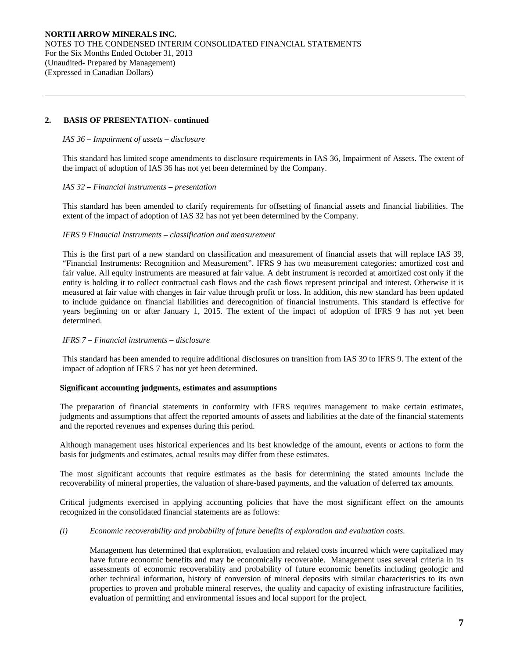## **2. BASIS OF PRESENTATION- continued**

 $\overline{a}$ 

## *IAS 36 – Impairment of assets – disclosure*

This standard has limited scope amendments to disclosure requirements in IAS 36, Impairment of Assets. The extent of the impact of adoption of IAS 36 has not yet been determined by the Company.

## *IAS 32 – Financial instruments – presentation*

This standard has been amended to clarify requirements for offsetting of financial assets and financial liabilities. The extent of the impact of adoption of IAS 32 has not yet been determined by the Company.

#### *IFRS 9 Financial Instruments – classification and measurement*

This is the first part of a new standard on classification and measurement of financial assets that will replace IAS 39, "Financial Instruments: Recognition and Measurement". IFRS 9 has two measurement categories: amortized cost and fair value. All equity instruments are measured at fair value. A debt instrument is recorded at amortized cost only if the entity is holding it to collect contractual cash flows and the cash flows represent principal and interest. Otherwise it is measured at fair value with changes in fair value through profit or loss. In addition, this new standard has been updated to include guidance on financial liabilities and derecognition of financial instruments. This standard is effective for years beginning on or after January 1, 2015. The extent of the impact of adoption of IFRS 9 has not yet been determined.

## *IFRS 7 – Financial instruments – disclosure*

This standard has been amended to require additional disclosures on transition from IAS 39 to IFRS 9. The extent of the impact of adoption of IFRS 7 has not yet been determined.

## **Significant accounting judgments, estimates and assumptions**

The preparation of financial statements in conformity with IFRS requires management to make certain estimates, judgments and assumptions that affect the reported amounts of assets and liabilities at the date of the financial statements and the reported revenues and expenses during this period.

Although management uses historical experiences and its best knowledge of the amount, events or actions to form the basis for judgments and estimates, actual results may differ from these estimates.

The most significant accounts that require estimates as the basis for determining the stated amounts include the recoverability of mineral properties, the valuation of share-based payments, and the valuation of deferred tax amounts.

Critical judgments exercised in applying accounting policies that have the most significant effect on the amounts recognized in the consolidated financial statements are as follows:

## *(i) Economic recoverability and probability of future benefits of exploration and evaluation costs.*

 Management has determined that exploration, evaluation and related costs incurred which were capitalized may have future economic benefits and may be economically recoverable. Management uses several criteria in its assessments of economic recoverability and probability of future economic benefits including geologic and other technical information, history of conversion of mineral deposits with similar characteristics to its own properties to proven and probable mineral reserves, the quality and capacity of existing infrastructure facilities, evaluation of permitting and environmental issues and local support for the project.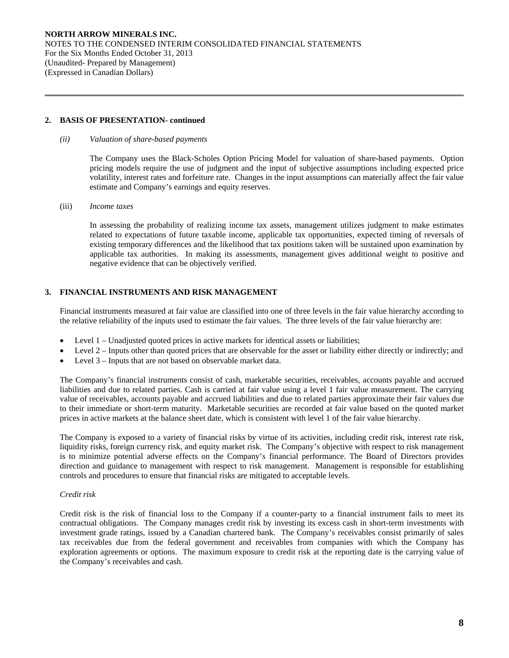**NORTH ARROW MINERALS INC.**  NOTES TO THE CONDENSED INTERIM CONSOLIDATED FINANCIAL STATEMENTS For the Six Months Ended October 31, 2013 (Unaudited- Prepared by Management) (Expressed in Canadian Dollars)

#### **2. BASIS OF PRESENTATION- continued**

#### *(ii) Valuation of share-based payments*

The Company uses the Black-Scholes Option Pricing Model for valuation of share-based payments. Option pricing models require the use of judgment and the input of subjective assumptions including expected price volatility, interest rates and forfeiture rate. Changes in the input assumptions can materially affect the fair value estimate and Company's earnings and equity reserves.

#### (iii) *Income taxes*

 $\overline{a}$ 

In assessing the probability of realizing income tax assets, management utilizes judgment to make estimates related to expectations of future taxable income, applicable tax opportunities, expected timing of reversals of existing temporary differences and the likelihood that tax positions taken will be sustained upon examination by applicable tax authorities. In making its assessments, management gives additional weight to positive and negative evidence that can be objectively verified.

# **3. FINANCIAL INSTRUMENTS AND RISK MANAGEMENT**

Financial instruments measured at fair value are classified into one of three levels in the fair value hierarchy according to the relative reliability of the inputs used to estimate the fair values. The three levels of the fair value hierarchy are:

- Level 1 Unadjusted quoted prices in active markets for identical assets or liabilities;
- Level 2 Inputs other than quoted prices that are observable for the asset or liability either directly or indirectly; and
- Level 3 Inputs that are not based on observable market data.

The Company's financial instruments consist of cash, marketable securities, receivables, accounts payable and accrued liabilities and due to related parties. Cash is carried at fair value using a level 1 fair value measurement. The carrying value of receivables, accounts payable and accrued liabilities and due to related parties approximate their fair values due to their immediate or short-term maturity. Marketable securities are recorded at fair value based on the quoted market prices in active markets at the balance sheet date, which is consistent with level 1 of the fair value hierarchy.

The Company is exposed to a variety of financial risks by virtue of its activities, including credit risk, interest rate risk, liquidity risks, foreign currency risk, and equity market risk. The Company's objective with respect to risk management is to minimize potential adverse effects on the Company's financial performance. The Board of Directors provides direction and guidance to management with respect to risk management. Management is responsible for establishing controls and procedures to ensure that financial risks are mitigated to acceptable levels.

# *Credit risk*

Credit risk is the risk of financial loss to the Company if a counter-party to a financial instrument fails to meet its contractual obligations. The Company manages credit risk by investing its excess cash in short-term investments with investment grade ratings, issued by a Canadian chartered bank. The Company's receivables consist primarily of sales tax receivables due from the federal government and receivables from companies with which the Company has exploration agreements or options. The maximum exposure to credit risk at the reporting date is the carrying value of the Company's receivables and cash.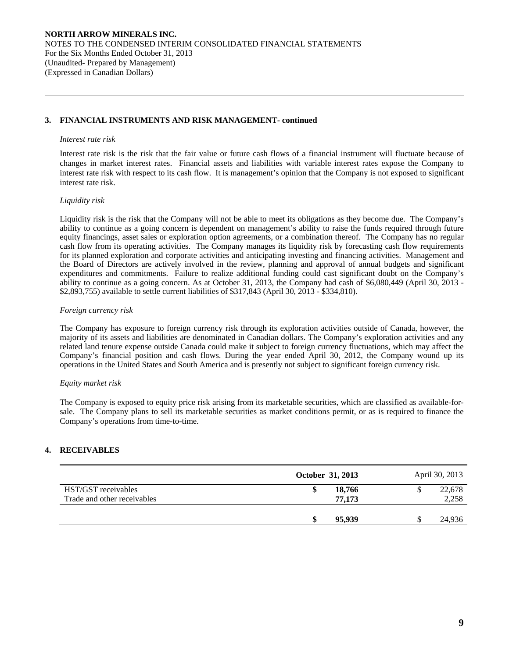## **3. FINANCIAL INSTRUMENTS AND RISK MANAGEMENT- continued**

#### *Interest rate risk*

 $\overline{a}$ 

Interest rate risk is the risk that the fair value or future cash flows of a financial instrument will fluctuate because of changes in market interest rates. Financial assets and liabilities with variable interest rates expose the Company to interest rate risk with respect to its cash flow. It is management's opinion that the Company is not exposed to significant interest rate risk.

#### *Liquidity risk*

Liquidity risk is the risk that the Company will not be able to meet its obligations as they become due. The Company's ability to continue as a going concern is dependent on management's ability to raise the funds required through future equity financings, asset sales or exploration option agreements, or a combination thereof. The Company has no regular cash flow from its operating activities. The Company manages its liquidity risk by forecasting cash flow requirements for its planned exploration and corporate activities and anticipating investing and financing activities. Management and the Board of Directors are actively involved in the review, planning and approval of annual budgets and significant expenditures and commitments. Failure to realize additional funding could cast significant doubt on the Company's ability to continue as a going concern. As at October 31, 2013, the Company had cash of \$6,080,449 (April 30, 2013 - \$2,893,755) available to settle current liabilities of \$317,843 (April 30, 2013 - \$334,810).

## *Foreign currency risk*

The Company has exposure to foreign currency risk through its exploration activities outside of Canada, however, the majority of its assets and liabilities are denominated in Canadian dollars. The Company's exploration activities and any related land tenure expense outside Canada could make it subject to foreign currency fluctuations, which may affect the Company's financial position and cash flows. During the year ended April 30, 2012, the Company wound up its operations in the United States and South America and is presently not subject to significant foreign currency risk.

#### *Equity market risk*

The Company is exposed to equity price risk arising from its marketable securities, which are classified as available-forsale. The Company plans to sell its marketable securities as market conditions permit, or as is required to finance the Company's operations from time-to-time.

# **4. RECEIVABLES**

|                                                    | October 31, 2013 |    | April 30, 2013  |
|----------------------------------------------------|------------------|----|-----------------|
| HST/GST receivables<br>Trade and other receivables | 18,766<br>77,173 | ۰D | 22,678<br>2,258 |
|                                                    | 95,939           | ۰D | 24,936          |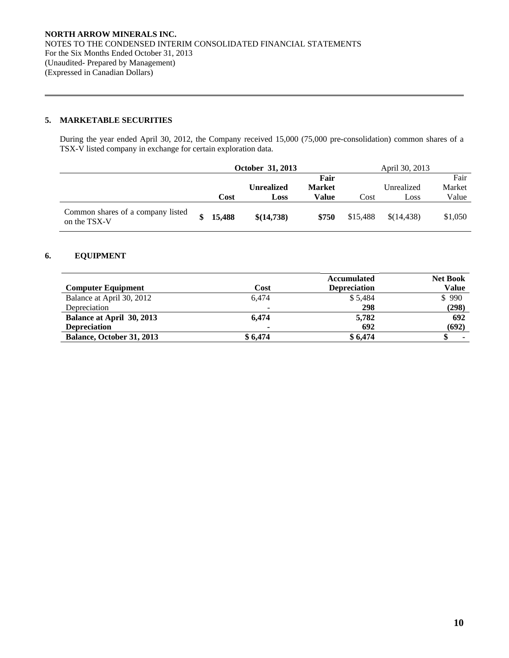# **5. MARKETABLE SECURITIES**

 $\overline{a}$ 

During the year ended April 30, 2012, the Company received 15,000 (75,000 pre-consolidation) common shares of a TSX-V listed company in exchange for certain exploration data.

|                                                   | October 31, 2013 |          |                   |               | April 30, 2013 |            |         |
|---------------------------------------------------|------------------|----------|-------------------|---------------|----------------|------------|---------|
|                                                   |                  |          |                   | Fair          |                |            | Fair    |
|                                                   |                  |          | <b>Unrealized</b> | <b>Market</b> |                | Unrealized | Market  |
|                                                   |                  | Cost     | Loss              | Value         | Cost           | Loss       | Value   |
| Common shares of a company listed<br>on the TSX-V |                  | \$15,488 | \$(14,738)        | \$750         | \$15,488       | \$(14,438) | \$1,050 |

# **6. EQUIPMENT**

|                           |         | <b>Accumulated</b>  | <b>Net Book</b> |
|---------------------------|---------|---------------------|-----------------|
| <b>Computer Equipment</b> | Cost    | <b>Depreciation</b> | Value           |
| Balance at April 30, 2012 | 6.474   | \$5.484             | \$990           |
| Depreciation              |         | 298                 | (298)           |
| Balance at April 30, 2013 | 6.474   | 5,782               | 692             |
| <b>Depreciation</b>       | ۰       | 692                 | (692)           |
| Balance, October 31, 2013 | \$6,474 | \$6,474             |                 |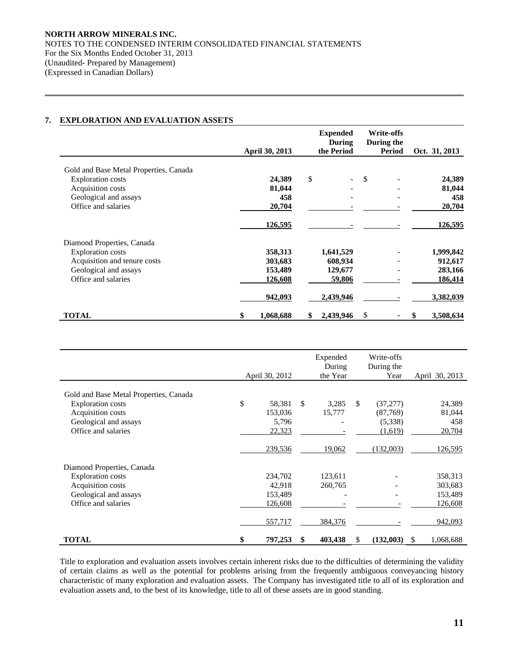# **7. EXPLORATION AND EVALUATION ASSETS**

 $\overline{a}$ 

|                                        |                 | <b>Expended</b><br>During | <b>Write-offs</b><br>During the |                  |
|----------------------------------------|-----------------|---------------------------|---------------------------------|------------------|
|                                        | April 30, 2013  | the Period                | Period                          | Oct. 31, 2013    |
| Gold and Base Metal Properties, Canada |                 |                           |                                 |                  |
| <b>Exploration costs</b>               | 24,389          | \$                        | <sup>\$</sup>                   | 24,389           |
| Acquisition costs                      | 81,044          |                           |                                 | 81,044           |
| Geological and assays                  | 458             |                           |                                 | 458              |
| Office and salaries                    | 20,704          |                           |                                 | 20,704           |
|                                        | <u>126,595</u>  |                           |                                 | <u>126,595</u>   |
| Diamond Properties, Canada             |                 |                           |                                 |                  |
| <b>Exploration costs</b>               | 358,313         | 1,641,529                 |                                 | 1,999,842        |
| Acquisition and tenure costs           | 303,683         | 608,934                   |                                 | 912,617          |
| Geological and assays                  | 153,489         | 129,677                   |                                 | 283,166          |
| Office and salaries                    | 126,608         | 59,806                    |                                 | 186,414          |
|                                        | 942,093         | 2,439,946                 |                                 | <u>3,382,039</u> |
| <b>TOTAL</b>                           | 1,068,688<br>\$ | \$<br>2,439,946           | \$                              | 3,508,634<br>S   |

|                                        | April 30, 2012 |               | Expended<br>During<br>the Year | Write-offs<br>During the<br>Year |     | April 30, 2013 |
|----------------------------------------|----------------|---------------|--------------------------------|----------------------------------|-----|----------------|
| Gold and Base Metal Properties, Canada |                |               |                                |                                  |     |                |
| <b>Exploration costs</b>               | \$<br>58,381   | <sup>\$</sup> | 3,285                          | \$<br>(37,277)                   |     | 24,389         |
| Acquisition costs                      | 153,036        |               | 15,777                         | (87,769)                         |     | 81,044         |
| Geological and assays                  | 5,796          |               |                                | (5,338)                          |     | 458            |
| Office and salaries                    | 22,323         |               |                                | (1,619)                          |     | 20,704         |
|                                        | 239,536        |               | 19,062                         | (132,003)                        |     | 126,595        |
| Diamond Properties, Canada             |                |               |                                |                                  |     |                |
| <b>Exploration</b> costs               | 234,702        |               | 123,611                        |                                  |     | 358,313        |
| Acquisition costs                      | 42,918         |               | 260,765                        |                                  |     | 303,683        |
| Geological and assays                  | 153,489        |               |                                |                                  |     | 153,489        |
| Office and salaries                    | 126,608        |               |                                |                                  |     | 126,608        |
|                                        | 557,717        |               | 384,376                        |                                  |     | 942,093        |
| <b>TOTAL</b>                           | \$<br>797,253  | \$            | 403,438                        | \$<br>(132,003)                  | \$. | 1,068,688      |

 Title to exploration and evaluation assets involves certain inherent risks due to the difficulties of determining the validity of certain claims as well as the potential for problems arising from the frequently ambiguous conveyancing history characteristic of many exploration and evaluation assets. The Company has investigated title to all of its exploration and evaluation assets and, to the best of its knowledge, title to all of these assets are in good standing.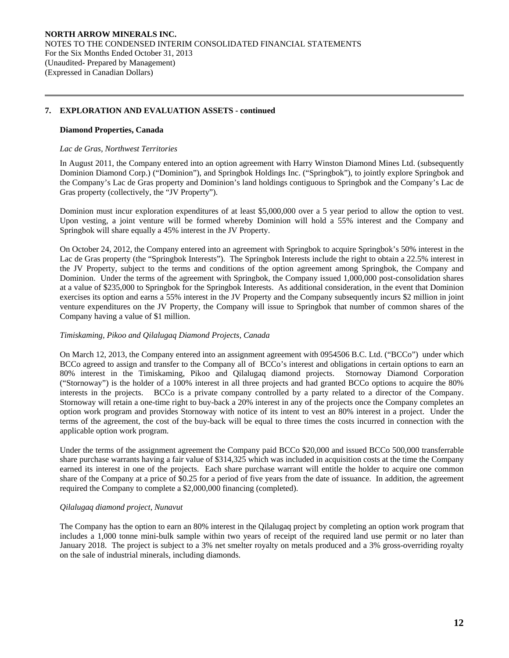## **Diamond Properties, Canada**

 $\overline{a}$ 

#### *Lac de Gras, Northwest Territories*

In August 2011, the Company entered into an option agreement with Harry Winston Diamond Mines Ltd. (subsequently Dominion Diamond Corp.) ("Dominion"), and Springbok Holdings Inc. ("Springbok"), to jointly explore Springbok and the Company's Lac de Gras property and Dominion's land holdings contiguous to Springbok and the Company's Lac de Gras property (collectively, the "JV Property").

Dominion must incur exploration expenditures of at least \$5,000,000 over a 5 year period to allow the option to vest. Upon vesting, a joint venture will be formed whereby Dominion will hold a 55% interest and the Company and Springbok will share equally a 45% interest in the JV Property.

On October 24, 2012, the Company entered into an agreement with Springbok to acquire Springbok's 50% interest in the Lac de Gras property (the "Springbok Interests"). The Springbok Interests include the right to obtain a 22.5% interest in the JV Property, subject to the terms and conditions of the option agreement among Springbok, the Company and Dominion. Under the terms of the agreement with Springbok, the Company issued 1,000,000 post-consolidation shares at a value of \$235,000 to Springbok for the Springbok Interests. As additional consideration, in the event that Dominion exercises its option and earns a 55% interest in the JV Property and the Company subsequently incurs \$2 million in joint venture expenditures on the JV Property, the Company will issue to Springbok that number of common shares of the Company having a value of \$1 million.

# *Timiskaming, Pikoo and Qilalugaq Diamond Projects, Canada*

On March 12, 2013, the Company entered into an assignment agreement with 0954506 B.C. Ltd. ("BCCo") under which BCCo agreed to assign and transfer to the Company all of BCCo's interest and obligations in certain options to earn an 80% interest in the Timiskaming, Pikoo and Qilalugaq diamond projects. Stornoway Diamond Corporation ("Stornoway") is the holder of a 100% interest in all three projects and had granted BCCo options to acquire the 80% interests in the projects. BCCo is a private company controlled by a party related to a director of the Company. Stornoway will retain a one-time right to buy-back a 20% interest in any of the projects once the Company completes an option work program and provides Stornoway with notice of its intent to vest an 80% interest in a project. Under the terms of the agreement, the cost of the buy-back will be equal to three times the costs incurred in connection with the applicable option work program.

Under the terms of the assignment agreement the Company paid BCCo \$20,000 and issued BCCo 500,000 transferrable share purchase warrants having a fair value of \$314,325 which was included in acquisition costs at the time the Company earned its interest in one of the projects. Each share purchase warrant will entitle the holder to acquire one common share of the Company at a price of \$0.25 for a period of five years from the date of issuance. In addition, the agreement required the Company to complete a \$2,000,000 financing (completed).

# *Qilalugaq diamond project, Nunavut*

The Company has the option to earn an 80% interest in the Qilalugaq project by completing an option work program that includes a 1,000 tonne mini-bulk sample within two years of receipt of the required land use permit or no later than January 2018. The project is subject to a 3% net smelter royalty on metals produced and a 3% gross-overriding royalty on the sale of industrial minerals, including diamonds.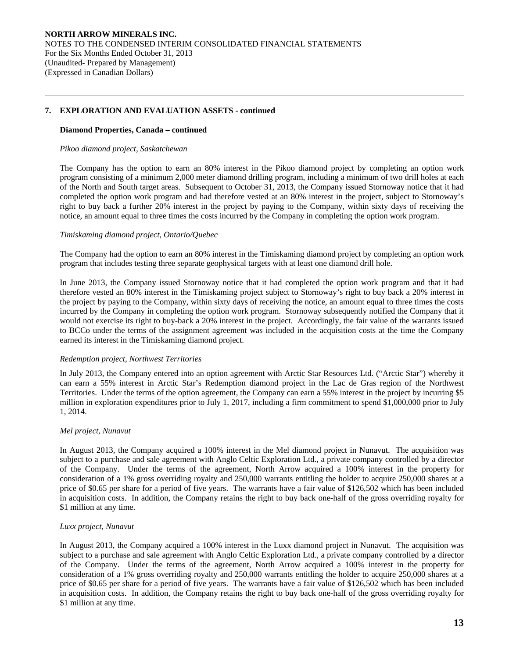## **Diamond Properties, Canada – continued**

#### *Pikoo diamond project, Saskatchewan*

 $\overline{a}$ 

The Company has the option to earn an 80% interest in the Pikoo diamond project by completing an option work program consisting of a minimum 2,000 meter diamond drilling program, including a minimum of two drill holes at each of the North and South target areas. Subsequent to October 31, 2013, the Company issued Stornoway notice that it had completed the option work program and had therefore vested at an 80% interest in the project, subject to Stornoway's right to buy back a further 20% interest in the project by paying to the Company, within sixty days of receiving the notice, an amount equal to three times the costs incurred by the Company in completing the option work program.

## *Timiskaming diamond project, Ontario/Quebec*

The Company had the option to earn an 80% interest in the Timiskaming diamond project by completing an option work program that includes testing three separate geophysical targets with at least one diamond drill hole.

In June 2013, the Company issued Stornoway notice that it had completed the option work program and that it had therefore vested an 80% interest in the Timiskaming project subject to Stornoway's right to buy back a 20% interest in the project by paying to the Company, within sixty days of receiving the notice, an amount equal to three times the costs incurred by the Company in completing the option work program. Stornoway subsequently notified the Company that it would not exercise its right to buy-back a 20% interest in the project. Accordingly, the fair value of the warrants issued to BCCo under the terms of the assignment agreement was included in the acquisition costs at the time the Company earned its interest in the Timiskaming diamond project.

#### *Redemption project, Northwest Territories*

In July 2013, the Company entered into an option agreement with Arctic Star Resources Ltd. ("Arctic Star") whereby it can earn a 55% interest in Arctic Star's Redemption diamond project in the Lac de Gras region of the Northwest Territories. Under the terms of the option agreement, the Company can earn a 55% interest in the project by incurring \$5 million in exploration expenditures prior to July 1, 2017, including a firm commitment to spend \$1,000,000 prior to July 1, 2014.

#### *Mel project, Nunavut*

In August 2013, the Company acquired a 100% interest in the Mel diamond project in Nunavut. The acquisition was subject to a purchase and sale agreement with Anglo Celtic Exploration Ltd., a private company controlled by a director of the Company. Under the terms of the agreement, North Arrow acquired a 100% interest in the property for consideration of a 1% gross overriding royalty and 250,000 warrants entitling the holder to acquire 250,000 shares at a price of \$0.65 per share for a period of five years. The warrants have a fair value of \$126,502 which has been included in acquisition costs. In addition, the Company retains the right to buy back one-half of the gross overriding royalty for \$1 million at any time.

#### *Luxx project, Nunavut*

In August 2013, the Company acquired a 100% interest in the Luxx diamond project in Nunavut. The acquisition was subject to a purchase and sale agreement with Anglo Celtic Exploration Ltd., a private company controlled by a director of the Company. Under the terms of the agreement, North Arrow acquired a 100% interest in the property for consideration of a 1% gross overriding royalty and 250,000 warrants entitling the holder to acquire 250,000 shares at a price of \$0.65 per share for a period of five years. The warrants have a fair value of \$126,502 which has been included in acquisition costs. In addition, the Company retains the right to buy back one-half of the gross overriding royalty for \$1 million at any time.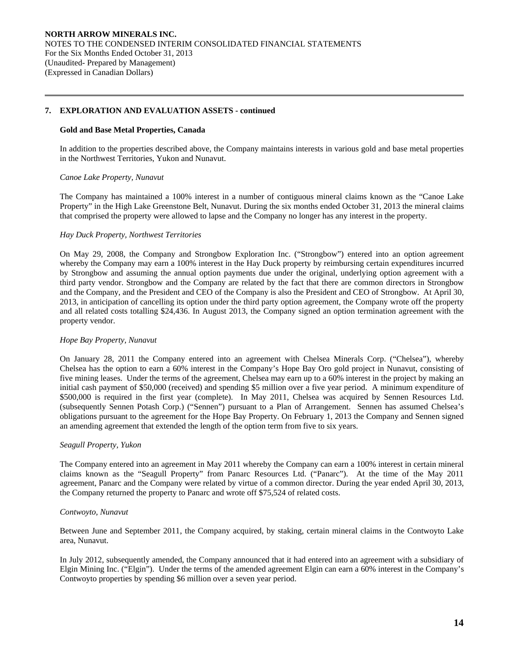## **Gold and Base Metal Properties, Canada**

 In addition to the properties described above, the Company maintains interests in various gold and base metal properties in the Northwest Territories, Yukon and Nunavut.

## *Canoe Lake Property, Nunavut*

 $\overline{a}$ 

 The Company has maintained a 100% interest in a number of contiguous mineral claims known as the "Canoe Lake Property" in the High Lake Greenstone Belt, Nunavut. During the six months ended October 31, 2013 the mineral claims that comprised the property were allowed to lapse and the Company no longer has any interest in the property.

## *Hay Duck Property, Northwest Territories*

On May 29, 2008, the Company and Strongbow Exploration Inc. ("Strongbow") entered into an option agreement whereby the Company may earn a 100% interest in the Hay Duck property by reimbursing certain expenditures incurred by Strongbow and assuming the annual option payments due under the original, underlying option agreement with a third party vendor. Strongbow and the Company are related by the fact that there are common directors in Strongbow and the Company, and the President and CEO of the Company is also the President and CEO of Strongbow. At April 30, 2013, in anticipation of cancelling its option under the third party option agreement, the Company wrote off the property and all related costs totalling \$24,436. In August 2013, the Company signed an option termination agreement with the property vendor.

# *Hope Bay Property, Nunavut*

On January 28, 2011 the Company entered into an agreement with Chelsea Minerals Corp. ("Chelsea"), whereby Chelsea has the option to earn a 60% interest in the Company's Hope Bay Oro gold project in Nunavut, consisting of five mining leases. Under the terms of the agreement, Chelsea may earn up to a 60% interest in the project by making an initial cash payment of \$50,000 (received) and spending \$5 million over a five year period. A minimum expenditure of \$500,000 is required in the first year (complete). In May 2011, Chelsea was acquired by Sennen Resources Ltd. (subsequently Sennen Potash Corp.) ("Sennen") pursuant to a Plan of Arrangement. Sennen has assumed Chelsea's obligations pursuant to the agreement for the Hope Bay Property. On February 1, 2013 the Company and Sennen signed an amending agreement that extended the length of the option term from five to six years.

#### *Seagull Property, Yukon*

The Company entered into an agreement in May 2011 whereby the Company can earn a 100% interest in certain mineral claims known as the "Seagull Property" from Panarc Resources Ltd. ("Panarc"). At the time of the May 2011 agreement, Panarc and the Company were related by virtue of a common director. During the year ended April 30, 2013, the Company returned the property to Panarc and wrote off \$75,524 of related costs.

## *Contwoyto, Nunavut*

Between June and September 2011, the Company acquired, by staking, certain mineral claims in the Contwoyto Lake area, Nunavut.

In July 2012, subsequently amended, the Company announced that it had entered into an agreement with a subsidiary of Elgin Mining Inc. ("Elgin"). Under the terms of the amended agreement Elgin can earn a 60% interest in the Company's Contwoyto properties by spending \$6 million over a seven year period.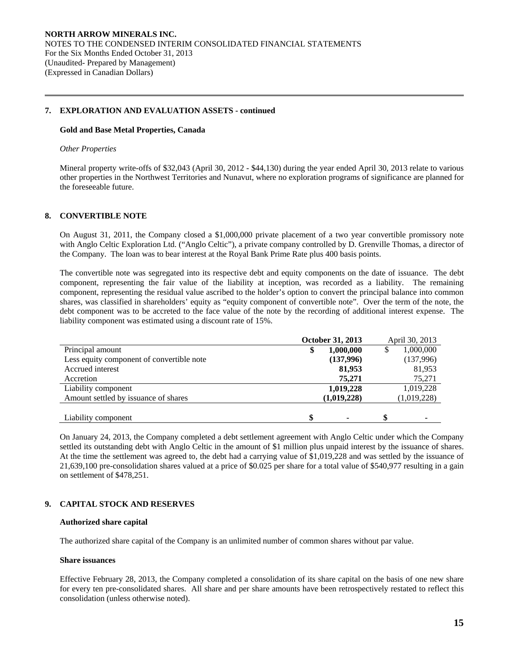#### **Gold and Base Metal Properties, Canada**

#### *Other Properties*

 $\overline{a}$ 

Mineral property write-offs of \$32,043 (April 30, 2012 - \$44,130) during the year ended April 30, 2013 relate to various other properties in the Northwest Territories and Nunavut, where no exploration programs of significance are planned for the foreseeable future.

# **8. CONVERTIBLE NOTE**

 On August 31, 2011, the Company closed a \$1,000,000 private placement of a two year convertible promissory note with Anglo Celtic Exploration Ltd. ("Anglo Celtic"), a private company controlled by D. Grenville Thomas, a director of the Company. The loan was to bear interest at the Royal Bank Prime Rate plus 400 basis points.

The convertible note was segregated into its respective debt and equity components on the date of issuance. The debt component, representing the fair value of the liability at inception, was recorded as a liability. The remaining component, representing the residual value ascribed to the holder's option to convert the principal balance into common shares, was classified in shareholders' equity as "equity component of convertible note". Over the term of the note, the debt component was to be accreted to the face value of the note by the recording of additional interest expense. The liability component was estimated using a discount rate of 15%.

| <b>October 31, 2013</b> | April 30, 2013  |
|-------------------------|-----------------|
| 1,000,000               | 1,000,000<br>\$ |
| (137,996)               | (137,996)       |
| 81,953                  | 81,953          |
| 75,271                  | 75,271          |
| 1,019,228               | 1,019,228       |
| (1,019,228)             | (1,019,228)     |
|                         |                 |
|                         |                 |

On January 24, 2013, the Company completed a debt settlement agreement with Anglo Celtic under which the Company settled its outstanding debt with Anglo Celtic in the amount of \$1 million plus unpaid interest by the issuance of shares. At the time the settlement was agreed to, the debt had a carrying value of \$1,019,228 and was settled by the issuance of 21,639,100 pre-consolidation shares valued at a price of \$0.025 per share for a total value of \$540,977 resulting in a gain on settlement of \$478,251.

# **9. CAPITAL STOCK AND RESERVES**

#### **Authorized share capital**

The authorized share capital of the Company is an unlimited number of common shares without par value.

#### **Share issuances**

Effective February 28, 2013, the Company completed a consolidation of its share capital on the basis of one new share for every ten pre-consolidated shares. All share and per share amounts have been retrospectively restated to reflect this consolidation (unless otherwise noted).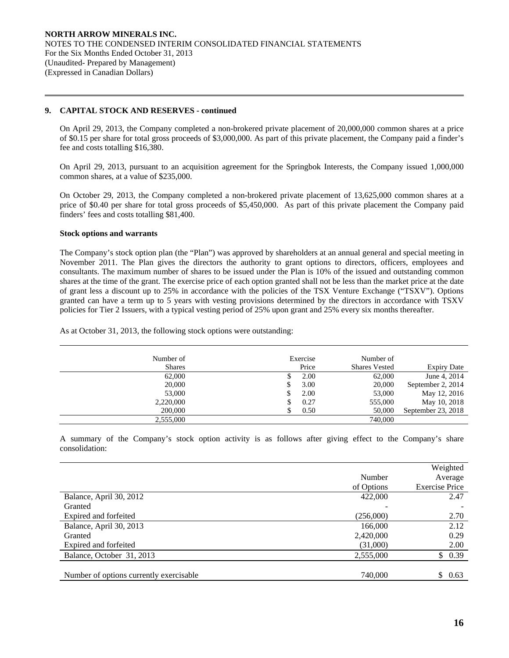## **9. CAPITAL STOCK AND RESERVES - continued**

On April 29, 2013, the Company completed a non-brokered private placement of 20,000,000 common shares at a price of \$0.15 per share for total gross proceeds of \$3,000,000. As part of this private placement, the Company paid a finder's fee and costs totalling \$16,380.

On April 29, 2013, pursuant to an acquisition agreement for the Springbok Interests, the Company issued 1,000,000 common shares, at a value of \$235,000.

On October 29, 2013, the Company completed a non-brokered private placement of 13,625,000 common shares at a price of \$0.40 per share for total gross proceeds of \$5,450,000. As part of this private placement the Company paid finders' fees and costs totalling \$81,400.

#### **Stock options and warrants**

 $\overline{a}$ 

The Company's stock option plan (the "Plan") was approved by shareholders at an annual general and special meeting in November 2011. The Plan gives the directors the authority to grant options to directors, officers, employees and consultants. The maximum number of shares to be issued under the Plan is 10% of the issued and outstanding common shares at the time of the grant. The exercise price of each option granted shall not be less than the market price at the date of grant less a discount up to 25% in accordance with the policies of the TSX Venture Exchange ("TSXV"). Options granted can have a term up to 5 years with vesting provisions determined by the directors in accordance with TSXV policies for Tier 2 Issuers, with a typical vesting period of 25% upon grant and 25% every six months thereafter.

As at October 31, 2013, the following stock options were outstanding:

| Number of<br><b>Shares</b> |   | Exercise<br>Price | Number of<br><b>Shares Vested</b> | <b>Expiry Date</b> |
|----------------------------|---|-------------------|-----------------------------------|--------------------|
| 62,000                     |   | 2.00              | 62,000                            | June 4, 2014       |
| 20,000                     |   | 3.00              | 20,000                            | September 2, 2014  |
| 53,000                     |   | 2.00              | 53,000                            | May 12, 2016       |
| 2,220,000                  | S | 0.27              | 555,000                           | May 10, 2018       |
| 200,000                    |   | 0.50              | 50,000                            | September 23, 2018 |
| 2.555,000                  |   |                   | 740,000                           |                    |

 A summary of the Company's stock option activity is as follows after giving effect to the Company's share consolidation:

|                                         |            | Weighted              |
|-----------------------------------------|------------|-----------------------|
|                                         | Number     | Average               |
|                                         | of Options | <b>Exercise Price</b> |
| Balance, April 30, 2012                 | 422,000    | 2.47                  |
| Granted                                 |            |                       |
| Expired and forfeited                   | (256,000)  | 2.70                  |
| Balance, April 30, 2013                 | 166,000    | 2.12                  |
| Granted                                 | 2,420,000  | 0.29                  |
| Expired and forfeited                   | (31,000)   | 2.00                  |
| Balance, October 31, 2013               | 2,555,000  | \$0.39                |
|                                         |            |                       |
| Number of options currently exercisable | 740,000    | \$0.63                |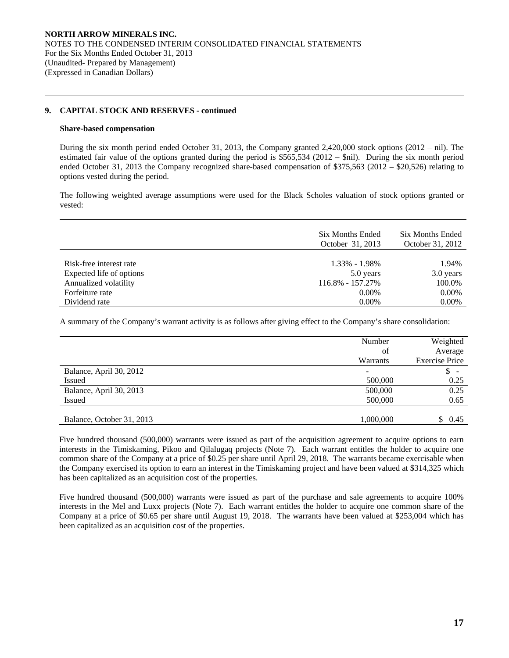## **9. CAPITAL STOCK AND RESERVES - continued**

#### **Share-based compensation**

 $\overline{a}$ 

 During the six month period ended October 31, 2013, the Company granted 2,420,000 stock options (2012 – nil). The estimated fair value of the options granted during the period is \$565,534 (2012 – \$nil). During the six month period ended October 31, 2013 the Company recognized share-based compensation of \$375,563 (2012 – \$20,526) relating to options vested during the period.

The following weighted average assumptions were used for the Black Scholes valuation of stock options granted or vested:

|                          | Six Months Ended<br>October 31, 2013 | Six Months Ended<br>October 31, 2012 |
|--------------------------|--------------------------------------|--------------------------------------|
| Risk-free interest rate  | $1.33\% - 1.98\%$                    | 1.94%                                |
| Expected life of options | 5.0 years                            | 3.0 years                            |
| Annualized volatility    | 116.8% - 157.27%                     | 100.0%                               |
| Forfeiture rate          | 0.00%                                | 0.00%                                |
| Dividend rate            | $0.00\%$                             | 0.00%                                |

A summary of the Company's warrant activity is as follows after giving effect to the Company's share consolidation:

|                           | Number    | Weighted                       |
|---------------------------|-----------|--------------------------------|
|                           | of        | Average                        |
|                           | Warrants  | <b>Exercise Price</b>          |
| Balance, April 30, 2012   | ۰         | \$<br>$\overline{\phantom{a}}$ |
| <b>Issued</b>             | 500,000   | 0.25                           |
| Balance, April 30, 2013   | 500,000   | 0.25                           |
| <b>Issued</b>             | 500,000   | 0.65                           |
|                           |           |                                |
| Balance, October 31, 2013 | 1,000,000 | S.<br>0.45                     |

Five hundred thousand (500,000) warrants were issued as part of the acquisition agreement to acquire options to earn interests in the Timiskaming, Pikoo and Qilalugaq projects (Note 7). Each warrant entitles the holder to acquire one common share of the Company at a price of \$0.25 per share until April 29, 2018. The warrants became exercisable when the Company exercised its option to earn an interest in the Timiskaming project and have been valued at \$314,325 which has been capitalized as an acquisition cost of the properties.

Five hundred thousand (500,000) warrants were issued as part of the purchase and sale agreements to acquire 100% interests in the Mel and Luxx projects (Note 7). Each warrant entitles the holder to acquire one common share of the Company at a price of \$0.65 per share until August 19, 2018. The warrants have been valued at \$253,004 which has been capitalized as an acquisition cost of the properties.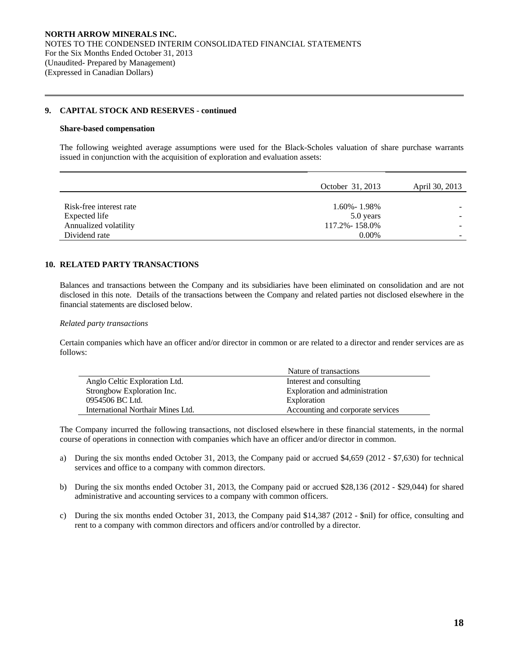## **9. CAPITAL STOCK AND RESERVES - continued**

#### **Share-based compensation**

 $\overline{a}$ 

The following weighted average assumptions were used for the Black-Scholes valuation of share purchase warrants issued in conjunction with the acquisition of exploration and evaluation assets:

|                         | October 31, 2013  | April 30, 2013           |
|-------------------------|-------------------|--------------------------|
|                         |                   |                          |
| Risk-free interest rate | $1.60\% - 1.98\%$ |                          |
| Expected life           | 5.0 years         |                          |
| Annualized volatility   | 117.2% - 158.0%   |                          |
| Dividend rate           | $0.00\%$          | $\overline{\phantom{a}}$ |

# **10. RELATED PARTY TRANSACTIONS**

 Balances and transactions between the Company and its subsidiaries have been eliminated on consolidation and are not disclosed in this note. Details of the transactions between the Company and related parties not disclosed elsewhere in the financial statements are disclosed below.

#### *Related party transactions*

Certain companies which have an officer and/or director in common or are related to a director and render services are as follows:

|                                   | Nature of transactions            |
|-----------------------------------|-----------------------------------|
| Anglo Celtic Exploration Ltd.     | Interest and consulting           |
| Strongbow Exploration Inc.        | Exploration and administration    |
| 0954506 BC Ltd.                   | Exploration                       |
| International Northair Mines Ltd. | Accounting and corporate services |

The Company incurred the following transactions, not disclosed elsewhere in these financial statements, in the normal course of operations in connection with companies which have an officer and/or director in common.

- a) During the six months ended October 31, 2013, the Company paid or accrued \$4,659 (2012 \$7,630) for technical services and office to a company with common directors.
- b) During the six months ended October 31, 2013, the Company paid or accrued \$28,136 (2012 \$29,044) for shared administrative and accounting services to a company with common officers.
- c) During the six months ended October 31, 2013, the Company paid \$14,387 (2012 \$nil) for office, consulting and rent to a company with common directors and officers and/or controlled by a director.